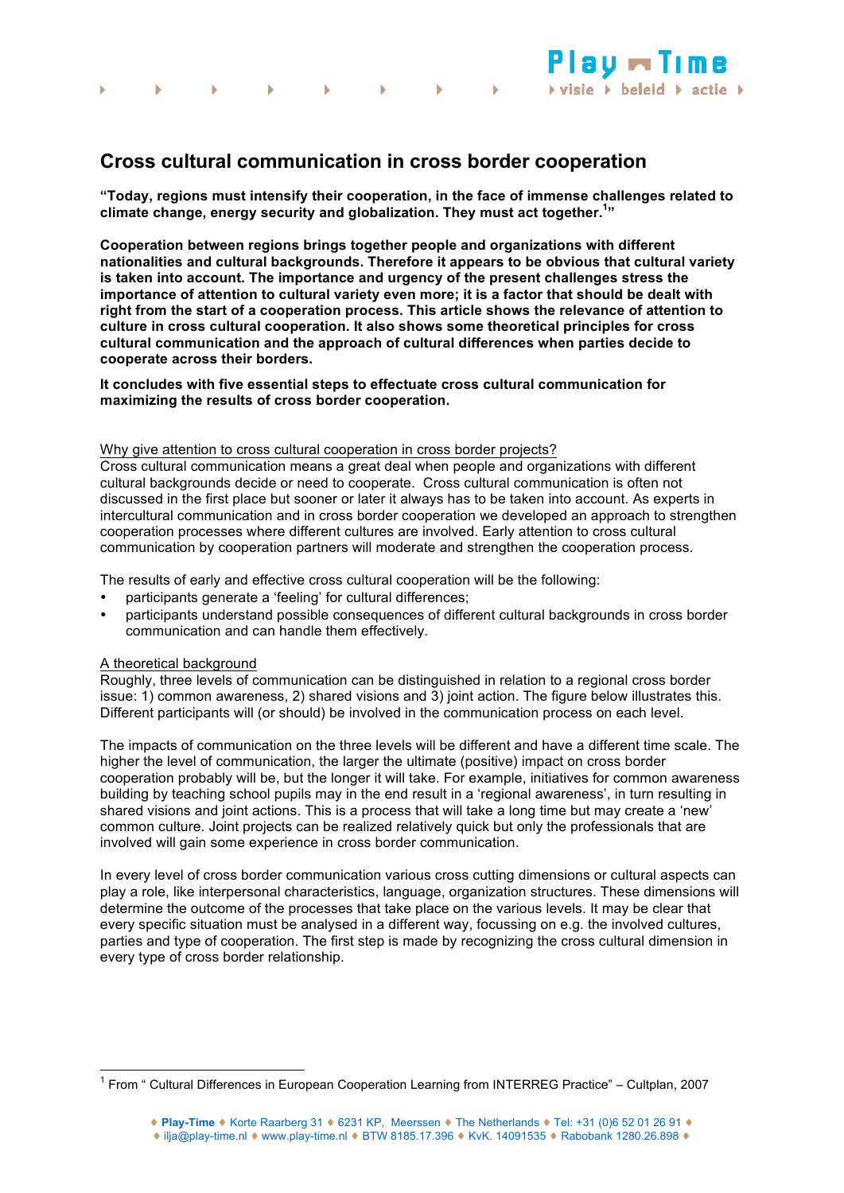

**"Today, regions must intensify their cooperation, in the face of immense challenges related to climate change, energy security and globalization. They must act together.1 "**

**AU MTI** 

 $\triangleright$  visie  $\triangleright$  beleid  $\triangleright$  actie  $\triangleright$ 

**Cooperation between regions brings together people and organizations with different nationalities and cultural backgrounds. Therefore it appears to be obvious that cultural variety is taken into account. The importance and urgency of the present challenges stress the importance of attention to cultural variety even more; it is a factor that should be dealt with right from the start of a cooperation process. This article shows the relevance of attention to culture in cross cultural cooperation. It also shows some theoretical principles for cross cultural communication and the approach of cultural differences when parties decide to cooperate across their borders.**

**It concludes with five essential steps to effectuate cross cultural communication for maximizing the results of cross border cooperation.** 

#### Why give attention to cross cultural cooperation in cross border projects?

Cross cultural communication means a great deal when people and organizations with different cultural backgrounds decide or need to cooperate. Cross cultural communication is often not discussed in the first place but sooner or later it always has to be taken into account. As experts in intercultural communication and in cross border cooperation we developed an approach to strengthen cooperation processes where different cultures are involved. Early attention to cross cultural communication by cooperation partners will moderate and strengthen the cooperation process.

The results of early and effective cross cultural cooperation will be the following:

- participants generate a 'feeling' for cultural differences;
- participants understand possible consequences of different cultural backgrounds in cross border communication and can handle them effectively.

### A theoretical background

Roughly, three levels of communication can be distinguished in relation to a regional cross border issue: 1) common awareness, 2) shared visions and 3) joint action. The figure below illustrates this. Different participants will (or should) be involved in the communication process on each level.

The impacts of communication on the three levels will be different and have a different time scale. The higher the level of communication, the larger the ultimate (positive) impact on cross border cooperation probably will be, but the longer it will take. For example, initiatives for common awareness building by teaching school pupils may in the end result in a 'regional awareness', in turn resulting in shared visions and joint actions. This is a process that will take a long time but may create a 'new' common culture. Joint projects can be realized relatively quick but only the professionals that are involved will gain some experience in cross border communication.

In every level of cross border communication various cross cutting dimensions or cultural aspects can play a role, like interpersonal characteristics, language, organization structures. These dimensions will determine the outcome of the processes that take place on the various levels. It may be clear that every specific situation must be analysed in a different way, focussing on e.g. the involved cultures, parties and type of cooperation. The first step is made by recognizing the cross cultural dimension in every type of cross border relationship.

<sup>1</sup> From " Cultural Differences in European Cooperation Learning from INTERREG Practice" – Cultplan, 2007

<sup>♦</sup> ilja@play-time.nl ♦ www.play-time.nl ♦ BTW 8185.17.396 ♦ KvK. 14091535 ♦ Rabobank 1280.26.898 ♦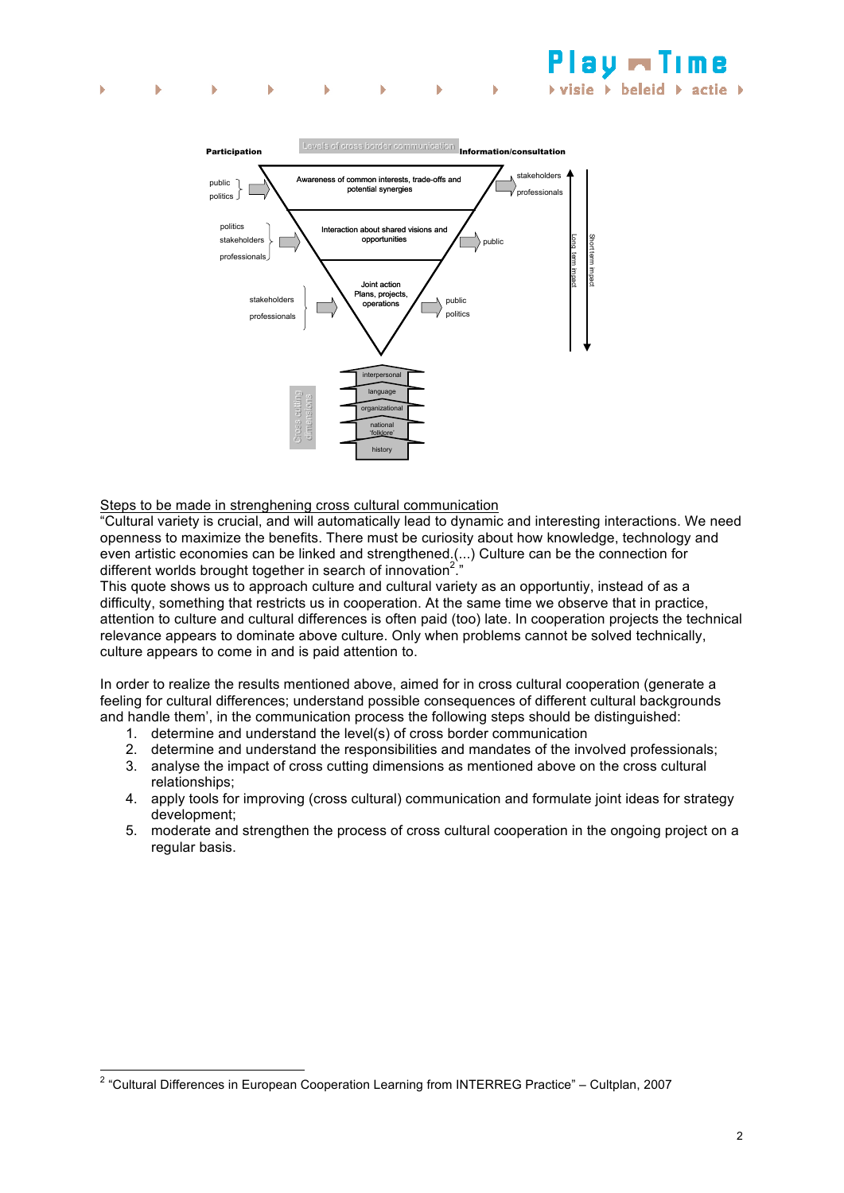

Steps to be made in strenghening cross cultural communication

"Cultural variety is crucial, and will automatically lead to dynamic and interesting interactions. We need openness to maximize the benefits. There must be curiosity about how knowledge, technology and even artistic economies can be linked and strengthened.(...) Culture can be the connection for different worlds brought together in search of innovation<sup>2</sup>.

This quote shows us to approach culture and cultural variety as an opportuntiy, instead of as a difficulty, something that restricts us in cooperation. At the same time we observe that in practice, attention to culture and cultural differences is often paid (too) late. In cooperation projects the technical relevance appears to dominate above culture. Only when problems cannot be solved technically, culture appears to come in and is paid attention to.

In order to realize the results mentioned above, aimed for in cross cultural cooperation (generate a feeling for cultural differences; understand possible consequences of different cultural backgrounds and handle them', in the communication process the following steps should be distinguished:

- 1. determine and understand the level(s) of cross border communication
- 2. determine and understand the responsibilities and mandates of the involved professionals;
- 3. analyse the impact of cross cutting dimensions as mentioned above on the cross cultural relationships;
- 4. apply tools for improving (cross cultural) communication and formulate joint ideas for strategy development;
- 5. moderate and strengthen the process of cross cultural cooperation in the ongoing project on a regular basis.

 $2$  "Cultural Differences in European Cooperation Learning from INTERREG Practice" - Cultplan, 2007